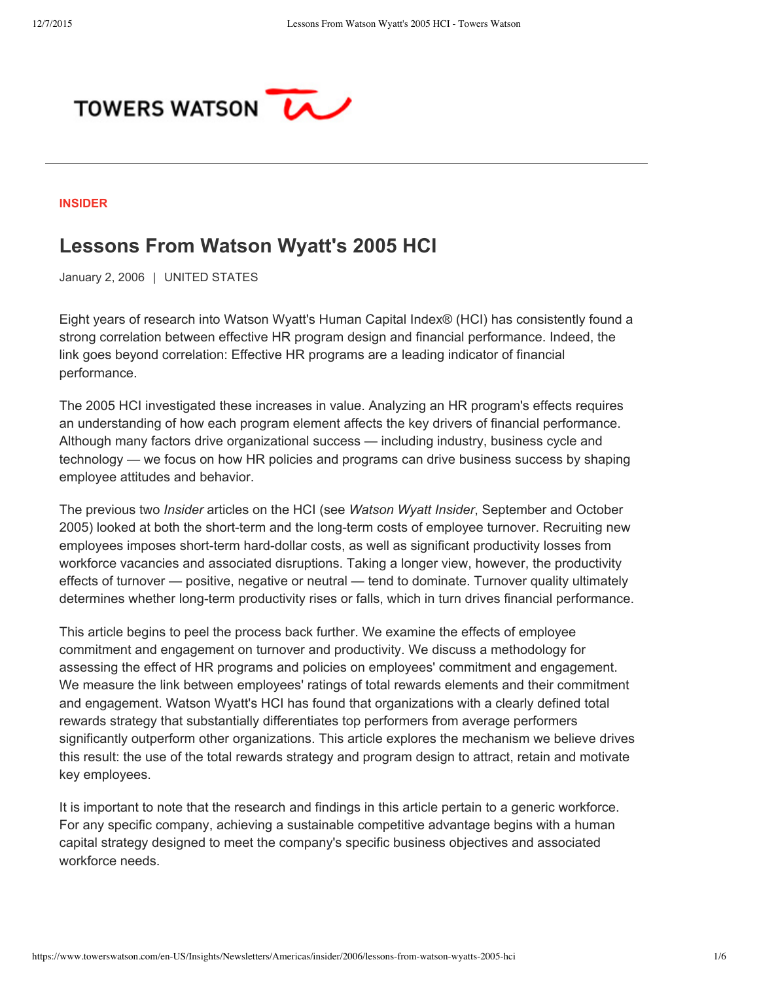

#### **[INSIDER](https://www.towerswatson.com/en-US/Insights/Newsletters/Americas/insider)**

# **Lessons From Watson Wyatt's 2005 HCI**

January 2, 2006 | UNITED STATES

Eight years of research into Watson Wyatt's Human Capital Index® (HCI) has consistently found a strong correlation between effective HR program design and financial performance. Indeed, the link goes beyond correlation: Effective HR programs are a leading indicator of financial performance.

The 2005 HCI investigated these increases in value. Analyzing an HR program's effects requires an understanding of how each program element affects the key drivers of financial performance. Although many factors drive organizational success — including industry, business cycle and technology — we focus on how HR policies and programs can drive business success by shaping employee attitudes and behavior.

The previous two *Insider* articles on the HCI (see *Watson Wyatt Insider*, September and October 2005) looked at both the short-term and the long-term costs of employee turnover. Recruiting new employees imposes short-term hard-dollar costs, as well as significant productivity losses from workforce vacancies and associated disruptions. Taking a longer view, however, the productivity effects of turnover — positive, negative or neutral — tend to dominate. Turnover quality ultimately determines whether long-term productivity rises or falls, which in turn drives financial performance.

This article begins to peel the process back further. We examine the effects of employee commitment and engagement on turnover and productivity. We discuss a methodology for assessing the effect of HR programs and policies on employees' commitment and engagement. We measure the link between employees' ratings of total rewards elements and their commitment and engagement. Watson Wyatt's HCI has found that organizations with a clearly defined total rewards strategy that substantially differentiates top performers from average performers significantly outperform other organizations. This article explores the mechanism we believe drives this result: the use of the total rewards strategy and program design to attract, retain and motivate key employees.

It is important to note that the research and findings in this article pertain to a generic workforce. For any specific company, achieving a sustainable competitive advantage begins with a human capital strategy designed to meet the company's specific business objectives and associated workforce needs.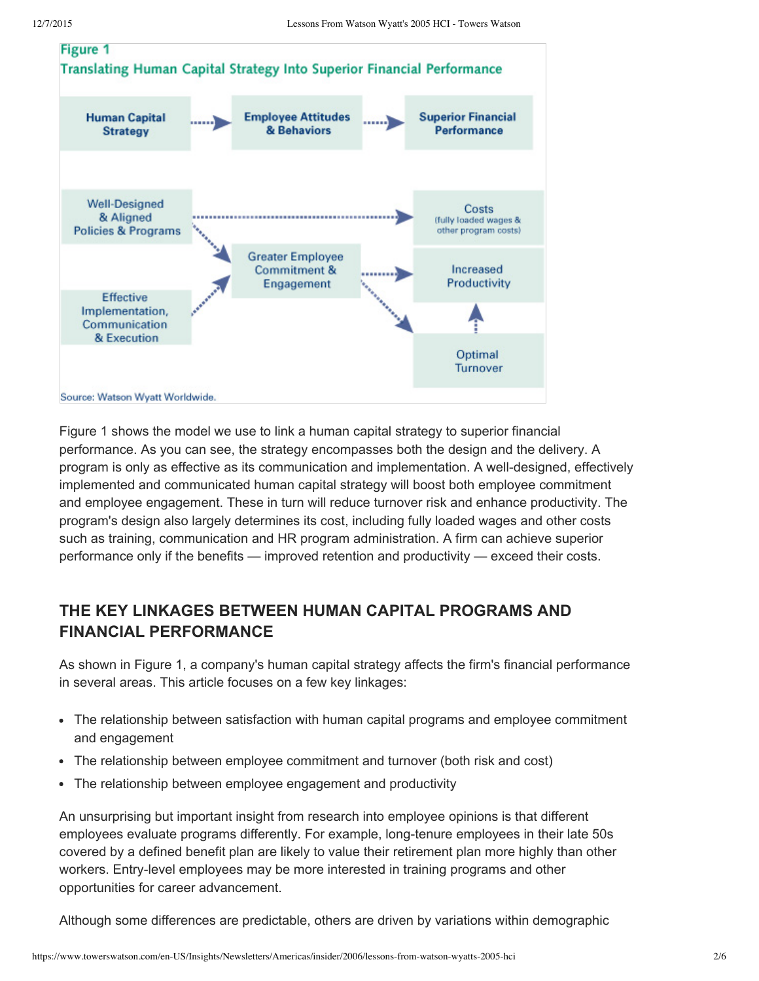

Figure 1 shows the model we use to link a human capital strategy to superior financial performance. As you can see, the strategy encompasses both the design and the delivery. A program is only as effective as its communication and implementation. A well-designed, effectively implemented and communicated human capital strategy will boost both employee commitment and employee engagement. These in turn will reduce turnover risk and enhance productivity. The program's design also largely determines its cost, including fully loaded wages and other costs such as training, communication and HR program administration. A firm can achieve superior performance only if the benefits — improved retention and productivity — exceed their costs.

### **THE KEY LINKAGES BETWEEN HUMAN CAPITAL PROGRAMS AND FINANCIAL PERFORMANCE**

As shown in Figure 1, a company's human capital strategy affects the firm's financial performance in several areas. This article focuses on a few key linkages:

- The relationship between satisfaction with human capital programs and employee commitment and engagement
- The relationship between employee commitment and turnover (both risk and cost)
- The relationship between employee engagement and productivity

An unsurprising but important insight from research into employee opinions is that different employees evaluate programs differently. For example, long-tenure employees in their late 50s covered by a defined benefit plan are likely to value their retirement plan more highly than other workers. Entry-level employees may be more interested in training programs and other opportunities for career advancement.

Although some differences are predictable, others are driven by variations within demographic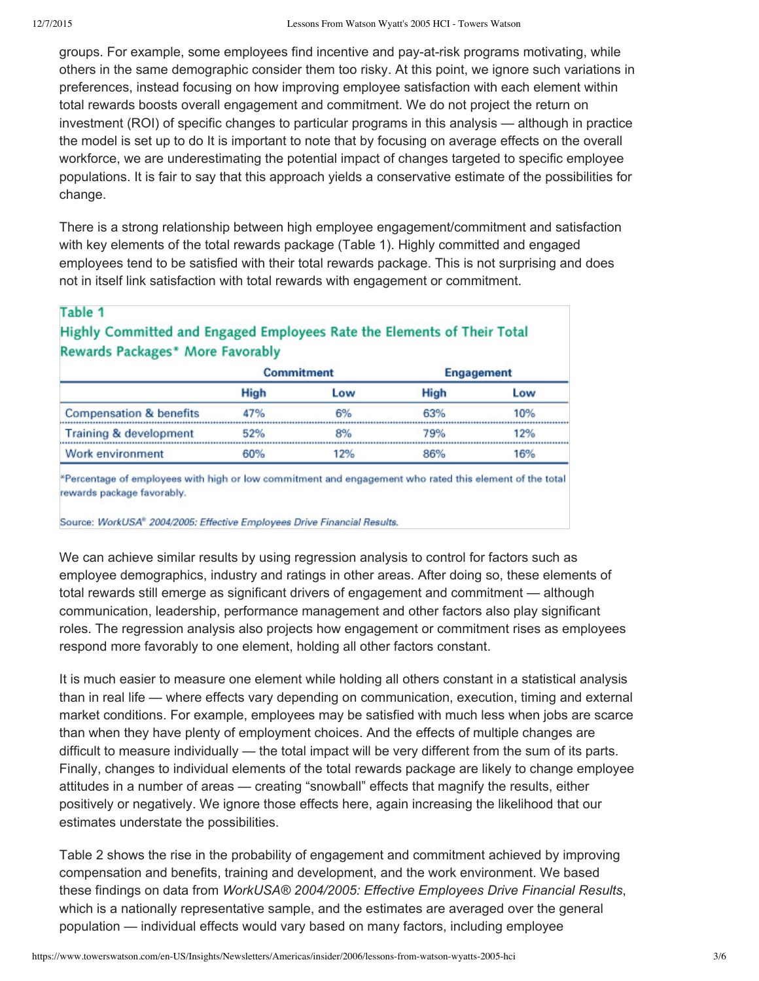groups. For example, some employees find incentive and pay-at-risk programs motivating, while others in the same demographic consider them too risky. At this point, we ignore such variations in preferences, instead focusing on how improving employee satisfaction with each element within total rewards boosts overall engagement and commitment. We do not project the return on investment (ROI) of specific changes to particular programs in this analysis — although in practice the model is set up to do It is important to note that by focusing on average effects on the overall workforce, we are underestimating the potential impact of changes targeted to specific employee populations. It is fair to say that this approach yields a conservative estimate of the possibilities for change.

There is a strong relationship between high employee engagement/commitment and satisfaction with key elements of the total rewards package (Table 1). Highly committed and engaged employees tend to be satisfied with their total rewards package. This is not surprising and does not in itself link satisfaction with total rewards with engagement or commitment.

#### Table 1

### Highly Committed and Engaged Employees Rate the Elements of Their Total **Rewards Packages\* More Favorably**

|                                    | <b>Commitment</b> |     | Engagement  |     |
|------------------------------------|-------------------|-----|-------------|-----|
|                                    | <b>High</b>       | Low | <b>High</b> | Low |
| <b>Compensation &amp; benefits</b> | 47%               | 6%  | 63%         | 10% |
| Training & development             | 52%               | 8%  | 79%         | 12% |
| Work environment                   | 60%               | 12% | 86%         | 16% |

\*Percentage of employees with high or low commitment and engagement who rated this element of the total rewards package favorably.

Source: WorkUSA<sup>®</sup> 2004/2005: Effective Employees Drive Financial Results.

We can achieve similar results by using regression analysis to control for factors such as employee demographics, industry and ratings in other areas. After doing so, these elements of total rewards still emerge as significant drivers of engagement and commitment — although communication, leadership, performance management and other factors also play significant roles. The regression analysis also projects how engagement or commitment rises as employees respond more favorably to one element, holding all other factors constant.

It is much easier to measure one element while holding all others constant in a statistical analysis than in real life — where effects vary depending on communication, execution, timing and external market conditions. For example, employees may be satisfied with much less when jobs are scarce than when they have plenty of employment choices. And the effects of multiple changes are difficult to measure individually — the total impact will be very different from the sum of its parts. Finally, changes to individual elements of the total rewards package are likely to change employee attitudes in a number of areas — creating "snowball" effects that magnify the results, either positively or negatively. We ignore those effects here, again increasing the likelihood that our estimates understate the possibilities.

Table 2 shows the rise in the probability of engagement and commitment achieved by improving compensation and benefits, training and development, and the work environment. We based these findings on data from *WorkUSA® 2004/2005: Effective Employees Drive Financial Results*, which is a nationally representative sample, and the estimates are averaged over the general population — individual effects would vary based on many factors, including employee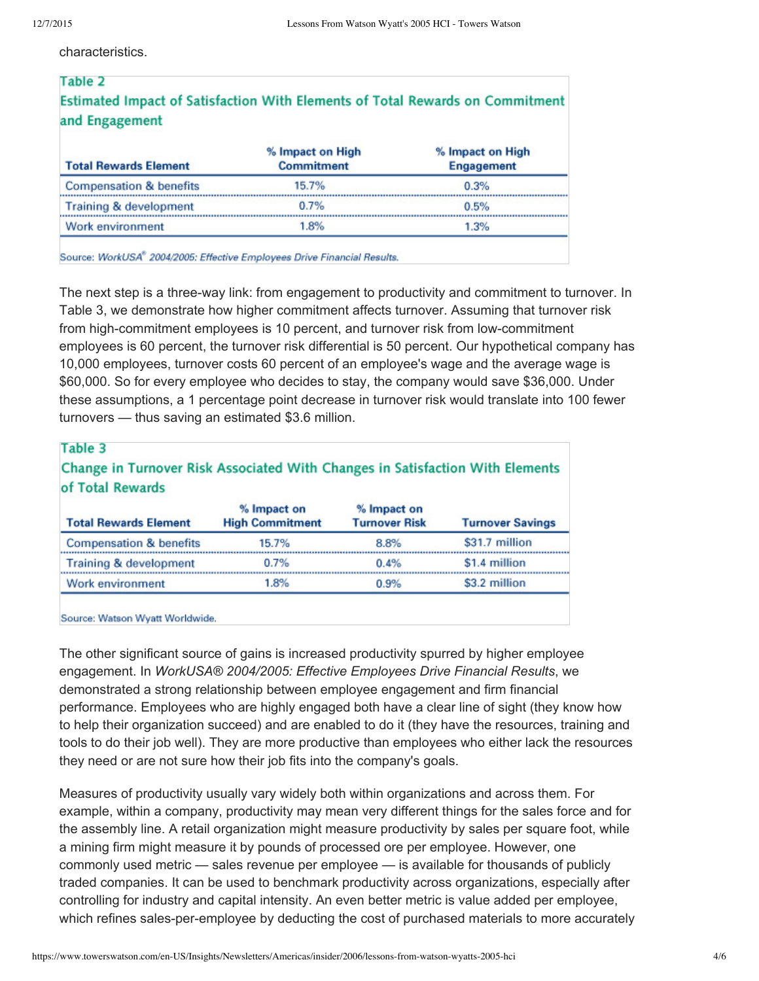characteristics.

## Table 2 Estimated Impact of Satisfaction With Elements of Total Rewards on Commitment and Engagement

| <b>Total Rewards Element</b>       | % Impact on High<br><b>Commitment</b> | % Impact on High<br><b>Engagement</b> |  |
|------------------------------------|---------------------------------------|---------------------------------------|--|
| <b>Compensation &amp; benefits</b> | 15.7%                                 | 0.3%                                  |  |
| Training & development             | 0.7%                                  | 0.5%                                  |  |
| Work environment                   | 1.8%                                  | 1.3%                                  |  |

Source: WorkUSA® 2004/2005: Effective Employees Drive Financial Results.

The next step is a three-way link: from engagement to productivity and commitment to turnover. In Table 3, we demonstrate how higher commitment affects turnover. Assuming that turnover risk from high-commitment employees is 10 percent, and turnover risk from low-commitment employees is 60 percent, the turnover risk differential is 50 percent. Our hypothetical company has 10,000 employees, turnover costs 60 percent of an employee's wage and the average wage is \$60,000. So for every employee who decides to stay, the company would save \$36,000. Under these assumptions, a 1 percentage point decrease in turnover risk would translate into 100 fewer turnovers — thus saving an estimated \$3.6 million.

| Table 3<br>Change in Turnover Risk Associated With Changes in Satisfaction With Elements<br>of Total Rewards |                                       |                                     |                         |  |
|--------------------------------------------------------------------------------------------------------------|---------------------------------------|-------------------------------------|-------------------------|--|
| <b>Total Rewards Element</b>                                                                                 | % Impact on<br><b>High Commitment</b> | % Impact on<br><b>Turnover Risk</b> | <b>Turnover Savings</b> |  |
| <b>Compensation &amp; benefits</b>                                                                           | 15.7%                                 | 8.8%                                | \$31.7 million          |  |
| Training & development                                                                                       | 0.7%                                  | 0.4%                                | \$1.4 million           |  |
| Work environment                                                                                             | 1.8%                                  | n asc                               | \$3.2 million           |  |

Source: Watson Wyatt Worldwide.

The other significant source of gains is increased productivity spurred by higher employee engagement. In *WorkUSA® 2004/2005: Effective Employees Drive Financial Results*, we demonstrated a strong relationship between employee engagement and firm financial performance. Employees who are highly engaged both have a clear line of sight (they know how to help their organization succeed) and are enabled to do it (they have the resources, training and tools to do their job well). They are more productive than employees who either lack the resources they need or are not sure how their job fits into the company's goals.

Measures of productivity usually vary widely both within organizations and across them. For example, within a company, productivity may mean very different things for the sales force and for the assembly line. A retail organization might measure productivity by sales per square foot, while a mining firm might measure it by pounds of processed ore per employee. However, one commonly used metric — sales revenue per employee — is available for thousands of publicly traded companies. It can be used to benchmark productivity across organizations, especially after controlling for industry and capital intensity. An even better metric is value added per employee, which refines sales-per-employee by deducting the cost of purchased materials to more accurately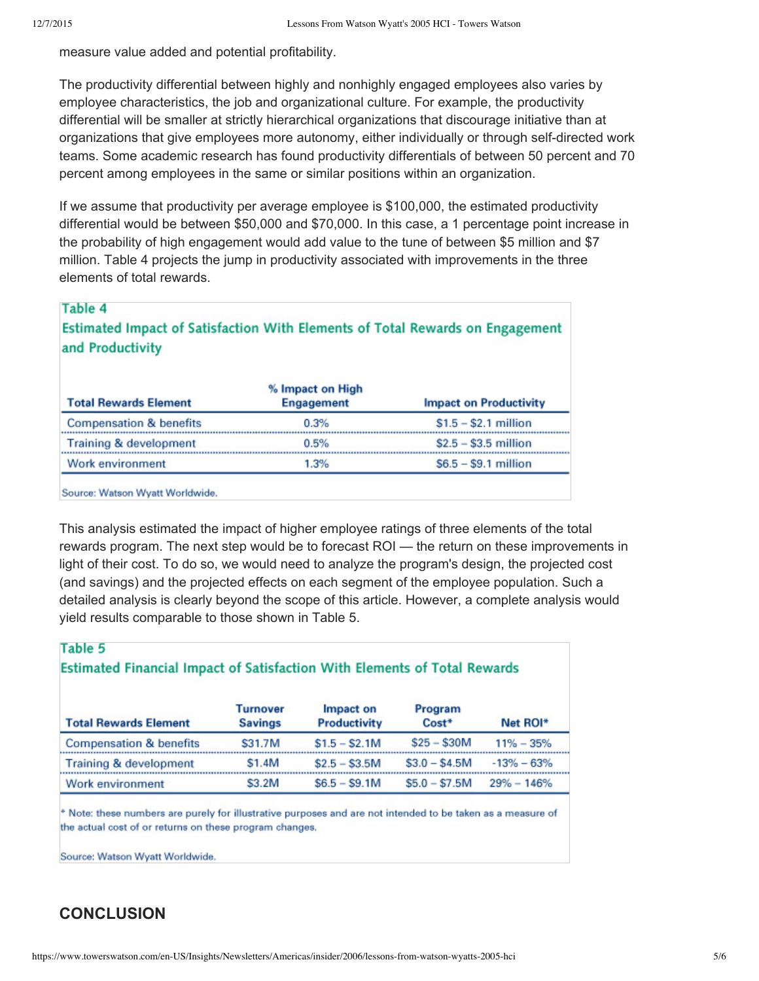measure value added and potential profitability.

The productivity differential between highly and nonhighly engaged employees also varies by employee characteristics, the job and organizational culture. For example, the productivity differential will be smaller at strictly hierarchical organizations that discourage initiative than at organizations that give employees more autonomy, either individually or through self-directed work teams. Some academic research has found productivity differentials of between 50 percent and 70 percent among employees in the same or similar positions within an organization.

If we assume that productivity per average employee is \$100,000, the estimated productivity differential would be between \$50,000 and \$70,000. In this case, a 1 percentage point increase in the probability of high engagement would add value to the tune of between \$5 million and \$7 million. Table 4 projects the jump in productivity associated with improvements in the three elements of total rewards.

### Table 4

Estimated Impact of Satisfaction With Elements of Total Rewards on Engagement and Productivity

| % Impact on High<br><b>Engagement</b><br><b>Impact on Productivity</b><br><b>Total Rewards Element</b> |      |                       |  |  |
|--------------------------------------------------------------------------------------------------------|------|-----------------------|--|--|
| <b>Compensation &amp; benefits</b>                                                                     | 0.3% | $$1.5 - $2.1$ million |  |  |
| Training & development                                                                                 | 0.5% | $$2.5 - $3.5$ million |  |  |
| Work environment                                                                                       | 1.3% | $$6.5 - $9.1$ million |  |  |

Source: Watson Wyatt Worldwide.

This analysis estimated the impact of higher employee ratings of three elements of the total rewards program. The next step would be to forecast ROI — the return on these improvements in light of their cost. To do so, we would need to analyze the program's design, the projected cost (and savings) and the projected effects on each segment of the employee population. Such a detailed analysis is clearly beyond the scope of this article. However, a complete analysis would yield results comparable to those shown in Table 5.

### Table 5

#### Estimated Financial Impact of Satisfaction With Elements of Total Rewards

| <b>Total Rewards Element</b>       | <b>Turnover</b><br><b>Savings</b> | Impact on<br><b>Productivity</b> | Program<br>Cost* | Net ROI*       |
|------------------------------------|-----------------------------------|----------------------------------|------------------|----------------|
| <b>Compensation &amp; benefits</b> | \$31.7M                           | $$1.5 - $2.1M$                   | $$25 - $30M$     | $11\% - 35\%$  |
| Training & development             | \$1.4M                            | $$2.5 - $3.5M$                   | $$3.0 - $4.5M$$  | $-13% - 63%$   |
| Work environment                   | \$3.2M                            | $$6.5 - $9.1M$$                  | $$5.0 - $7.5M$   | $29\% - 146\%$ |

\* Note: these numbers are purely for illustrative purposes and are not intended to be taken as a measure of the actual cost of or returns on these program changes.

Source: Watson Wyatt Worldwide.

### **CONCLUSION**